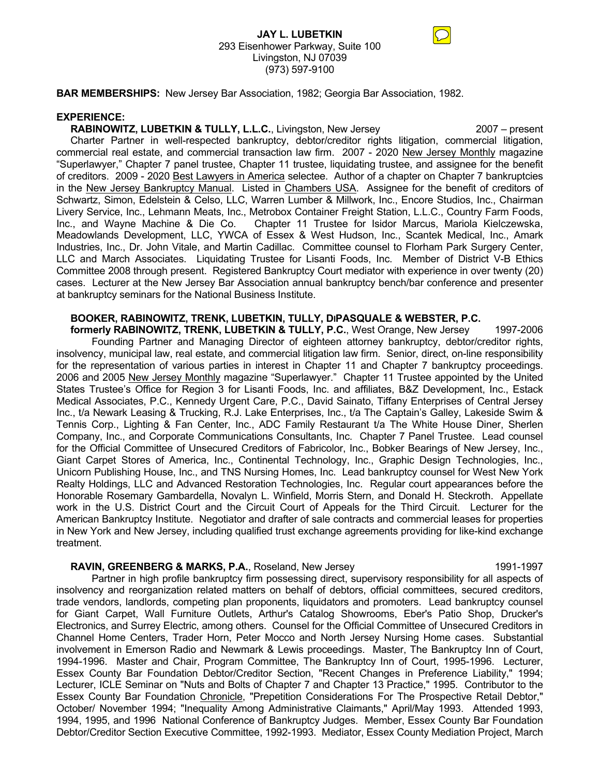# **JAY L. LUBETKIN** 293 Eisenhower Parkway, Suite 100 Livingston, NJ 07039 (973) 597-9100

**BAR MEMBERSHIPS:** New Jersey Bar Association, 1982; Georgia Bar Association, 1982.

#### **EXPERIENCE:**

**RABINOWITZ, LUBETKIN & TULLY, L.L.C.**, Livingston, New Jersey 2007 – present

 Charter Partner in well-respected bankruptcy, debtor/creditor rights litigation, commercial litigation, commercial real estate, and commercial transaction law firm. 2007 - 2020 New Jersey Monthly magazine "Superlawyer," Chapter 7 panel trustee, Chapter 11 trustee, liquidating trustee, and assignee for the benefit of creditors. 2009 - 2020 Best Lawyers in America selectee. Author of a chapter on Chapter 7 bankruptcies in the New Jersey Bankruptcy Manual. Listed in Chambers USA. Assignee for the benefit of creditors of Schwartz, Simon, Edelstein & Celso, LLC, Warren Lumber & Millwork, Inc., Encore Studios, Inc., Chairman Livery Service, Inc., Lehmann Meats, Inc., Metrobox Container Freight Station, L.L.C., Country Farm Foods, Inc., and Wayne Machine & Die Co. Chapter 11 Trustee for Isidor Marcus, Mariola Kielczewska, Meadowlands Development, LLC, YWCA of Essex & West Hudson, Inc., Scantek Medical, Inc., Amark Industries, Inc., Dr. John Vitale, and Martin Cadillac. Committee counsel to Florham Park Surgery Center, LLC and March Associates. Liquidating Trustee for Lisanti Foods, Inc. Member of District V-B Ethics Committee 2008 through present. Registered Bankruptcy Court mediator with experience in over twenty (20) cases. Lecturer at the New Jersey Bar Association annual bankruptcy bench/bar conference and presenter at bankruptcy seminars for the National Business Institute.

# **BOOKER, RABINOWITZ, TRENK, LUBETKIN, TULLY, DIPASQUALE & WEBSTER, P.C.**

 **formerly RABINOWITZ, TRENK, LUBETKIN & TULLY, P.C.**, West Orange, New Jersey 1997-2006 Founding Partner and Managing Director of eighteen attorney bankruptcy, debtor/creditor rights, insolvency, municipal law, real estate, and commercial litigation law firm. Senior, direct, on-line responsibility for the representation of various parties in interest in Chapter 11 and Chapter 7 bankruptcy proceedings. 2006 and 2005 New Jersey Monthly magazine "Superlawyer." Chapter 11 Trustee appointed by the United States Trustee's Office for Region 3 for Lisanti Foods, Inc. and affiliates, B&Z Development, Inc., Estack Medical Associates, P.C., Kennedy Urgent Care, P.C., David Sainato, Tiffany Enterprises of Central Jersey Inc., t/a Newark Leasing & Trucking, R.J. Lake Enterprises, Inc., t/a The Captain's Galley, Lakeside Swim & Tennis Corp., Lighting & Fan Center, Inc., ADC Family Restaurant t/a The White House Diner, Sherlen Company, Inc., and Corporate Communications Consultants, Inc. Chapter 7 Panel Trustee. Lead counsel for the Official Committee of Unsecured Creditors of Fabricolor, Inc., Bobker Bearings of New Jersey, Inc., Giant Carpet Stores of America, Inc., Continental Technology, Inc., Graphic Design Technologies, Inc., Unicorn Publishing House, Inc., and TNS Nursing Homes, Inc. Lead bankruptcy counsel for West New York Realty Holdings, LLC and Advanced Restoration Technologies, Inc. Regular court appearances before the Honorable Rosemary Gambardella, Novalyn L. Winfield, Morris Stern, and Donald H. Steckroth. Appellate work in the U.S. District Court and the Circuit Court of Appeals for the Third Circuit. Lecturer for the American Bankruptcy Institute. Negotiator and drafter of sale contracts and commercial leases for properties in New York and New Jersey, including qualified trust exchange agreements providing for like-kind exchange treatment.

## **RAVIN, GREENBERG & MARKS, P.A.**, Roseland, New Jersey 1991-1997 1991-1997

 Partner in high profile bankruptcy firm possessing direct, supervisory responsibility for all aspects of insolvency and reorganization related matters on behalf of debtors, official committees, secured creditors, trade vendors, landlords, competing plan proponents, liquidators and promoters. Lead bankruptcy counsel for Giant Carpet, Wall Furniture Outlets, Arthur's Catalog Showrooms, Eber's Patio Shop, Drucker's Electronics, and Surrey Electric, among others. Counsel for the Official Committee of Unsecured Creditors in Channel Home Centers, Trader Horn, Peter Mocco and North Jersey Nursing Home cases. Substantial involvement in Emerson Radio and Newmark & Lewis proceedings. Master, The Bankruptcy Inn of Court, 1994-1996. Master and Chair, Program Committee, The Bankruptcy Inn of Court, 1995-1996. Lecturer, Essex County Bar Foundation Debtor/Creditor Section, "Recent Changes in Preference Liability," 1994; Lecturer, ICLE Seminar on "Nuts and Bolts of Chapter 7 and Chapter 13 Practice," 1995. Contributor to the Essex County Bar Foundation Chronicle, "Prepetition Considerations For The Prospective Retail Debtor," October/ November 1994; "Inequality Among Administrative Claimants," April/May 1993. Attended 1993, 1994, 1995, and 1996 National Conference of Bankruptcy Judges. Member, Essex County Bar Foundation Debtor/Creditor Section Executive Committee, 1992-1993. Mediator, Essex County Mediation Project, March